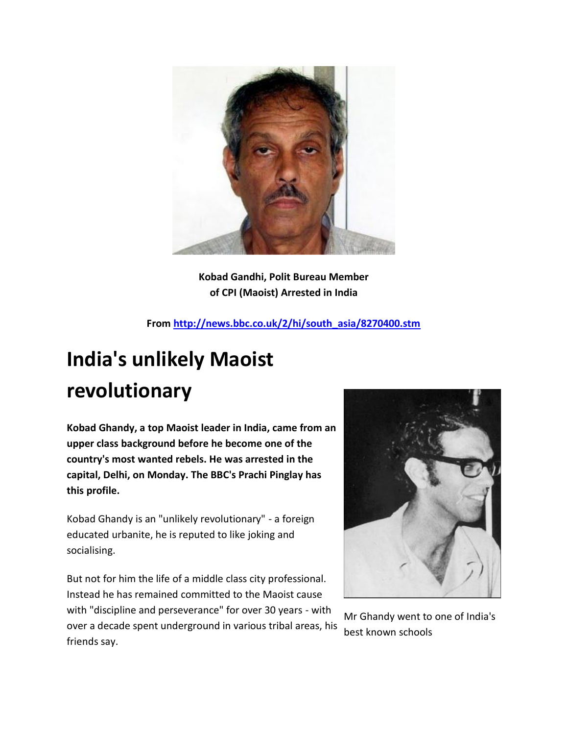

**Kobad Gandhi, Polit Bureau Member of CPI (Maoist) Arrested in India**

**From [http://news.bbc.co.uk/2/hi/south\\_asia/8270400.stm](http://news.bbc.co.uk/2/hi/south_asia/8270400.stm)**

# **India's unlikely Maoist revolutionary**

**Kobad Ghandy, a top Maoist leader in India, came from an upper class background before he become one of the country's most wanted rebels. He was arrested in the capital, Delhi, on Monday. The BBC's Prachi Pinglay has this profile.**

Kobad Ghandy is an "unlikely revolutionary" - a foreign educated urbanite, he is reputed to like joking and socialising.

But not for him the life of a middle class city professional. Instead he has remained committed to the Maoist cause with "discipline and perseverance" for over 30 years - with over a decade spent underground in various tribal areas, his friends say.



Mr Ghandy went to one of India's best known schools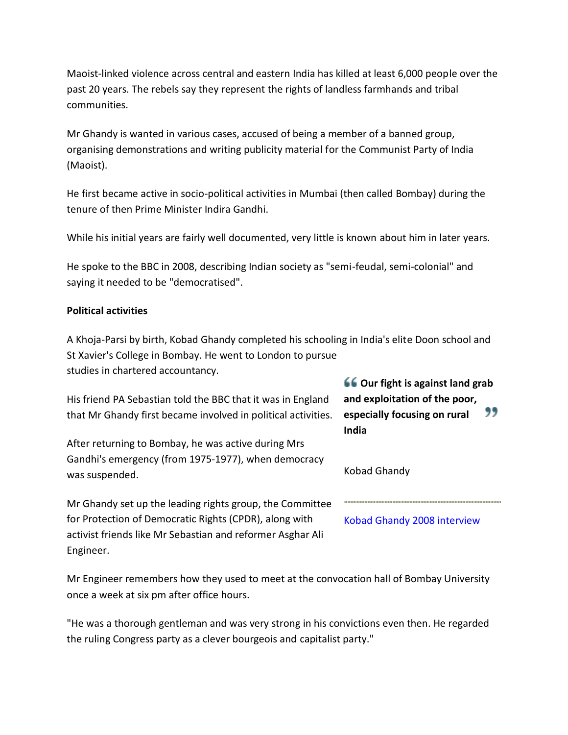Maoist-linked violence across central and eastern India has killed at least 6,000 people over the past 20 years. The rebels say they represent the rights of landless farmhands and tribal communities.

Mr Ghandy is wanted in various cases, accused of being a member of a banned group, organising demonstrations and writing publicity material for the Communist Party of India (Maoist).

He first became active in socio-political activities in Mumbai (then called Bombay) during the tenure of then Prime Minister Indira Gandhi.

While his initial years are fairly well documented, very little is known about him in later years.

He spoke to the BBC in 2008, describing Indian society as "semi-feudal, semi-colonial" and saying it needed to be "democratised".

#### **Political activities**

A Khoja-Parsi by birth, Kobad Ghandy completed his schooling in India's elite Doon school and St Xavier's College in Bombay. He went to London to pursue studies in chartered accountancy.

His friend PA Sebastian told the BBC that it was in England that Mr Ghandy first became involved in political activities.

After returning to Bombay, he was active during Mrs Gandhi's emergency (from 1975-1977), when democracy was suspended.

Mr Ghandy set up the leading rights group, the Committee for Protection of Democratic Rights (CPDR), along with activist friends like Mr Sebastian and reformer Asghar Ali Engineer.

**Our fight is against land grab and exploitation of the poor,**  ,, **especially focusing on rural India**

Kobad Ghandy

Kobad Ghandy 2008 interview

Mr Engineer remembers how they used to meet at the convocation hall of Bombay University once a week at six pm after office hours.

"He was a thorough gentleman and was very strong in his convictions even then. He regarded the ruling Congress party as a clever bourgeois and capitalist party."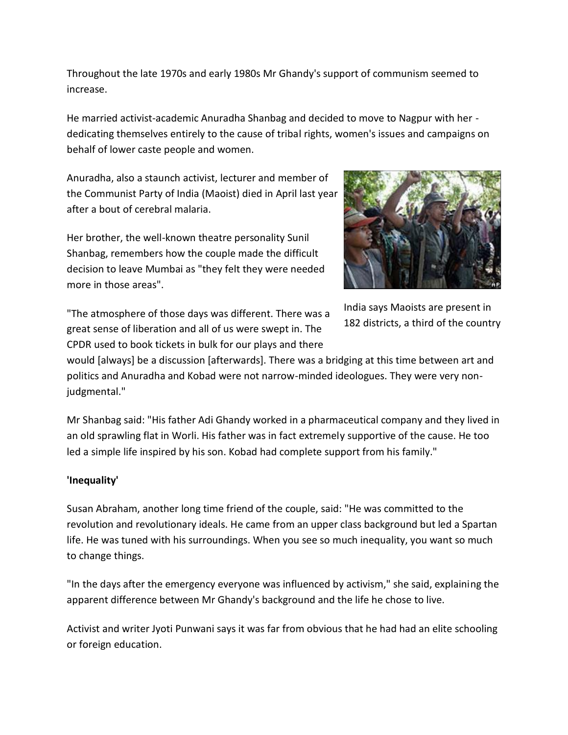Throughout the late 1970s and early 1980s Mr Ghandy's support of communism seemed to increase.

He married activist-academic Anuradha Shanbag and decided to move to Nagpur with her dedicating themselves entirely to the cause of tribal rights, women's issues and campaigns on behalf of lower caste people and women.

Anuradha, also a staunch activist, lecturer and member of the Communist Party of India (Maoist) died in April last year after a bout of cerebral malaria.

Her brother, the well-known theatre personality Sunil Shanbag, remembers how the couple made the difficult decision to leave Mumbai as "they felt they were needed more in those areas".



India says Maoists are present in 182 districts, a third of the country

"The atmosphere of those days was different. There was a great sense of liberation and all of us were swept in. The CPDR used to book tickets in bulk for our plays and there

would [always] be a discussion [afterwards]. There was a bridging at this time between art and politics and Anuradha and Kobad were not narrow-minded ideologues. They were very nonjudgmental."

Mr Shanbag said: "His father Adi Ghandy worked in a pharmaceutical company and they lived in an old sprawling flat in Worli. His father was in fact extremely supportive of the cause. He too led a simple life inspired by his son. Kobad had complete support from his family."

#### **'Inequality'**

Susan Abraham, another long time friend of the couple, said: "He was committed to the revolution and revolutionary ideals. He came from an upper class background but led a Spartan life. He was tuned with his surroundings. When you see so much inequality, you want so much to change things.

"In the days after the emergency everyone was influenced by activism," she said, explaining the apparent difference between Mr Ghandy's background and the life he chose to live.

Activist and writer Jyoti Punwani says it was far from obvious that he had had an elite schooling or foreign education.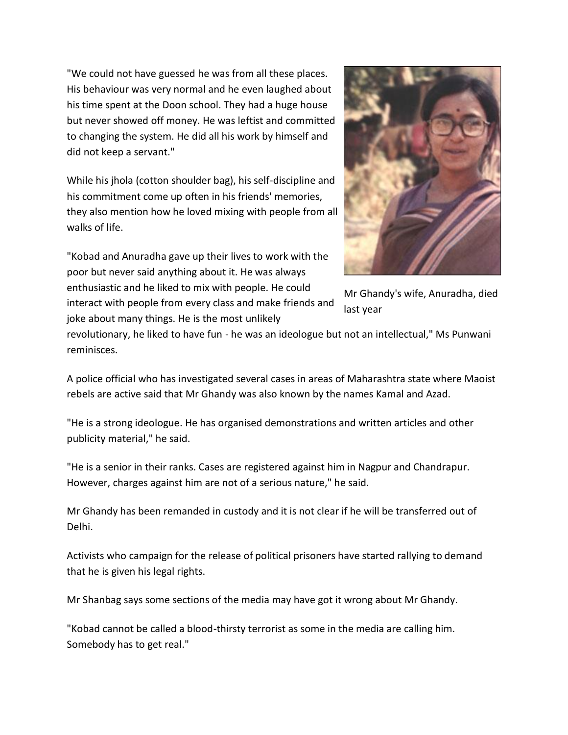"We could not have guessed he was from all these places. His behaviour was very normal and he even laughed about his time spent at the Doon school. They had a huge house but never showed off money. He was leftist and committed to changing the system. He did all his work by himself and did not keep a servant."

While his jhola (cotton shoulder bag), his self-discipline and his commitment come up often in his friends' memories, they also mention how he loved mixing with people from all walks of life.

"Kobad and Anuradha gave up their lives to work with the poor but never said anything about it. He was always enthusiastic and he liked to mix with people. He could interact with people from every class and make friends and joke about many things. He is the most unlikely



Mr Ghandy's wife, Anuradha, died last year

revolutionary, he liked to have fun - he was an ideologue but not an intellectual," Ms Punwani reminisces.

A police official who has investigated several cases in areas of Maharashtra state where Maoist rebels are active said that Mr Ghandy was also known by the names Kamal and Azad.

"He is a strong ideologue. He has organised demonstrations and written articles and other publicity material," he said.

"He is a senior in their ranks. Cases are registered against him in Nagpur and Chandrapur. However, charges against him are not of a serious nature," he said.

Mr Ghandy has been remanded in custody and it is not clear if he will be transferred out of Delhi.

Activists who campaign for the release of political prisoners have started rallying to demand that he is given his legal rights.

Mr Shanbag says some sections of the media may have got it wrong about Mr Ghandy.

"Kobad cannot be called a blood-thirsty terrorist as some in the media are calling him. Somebody has to get real."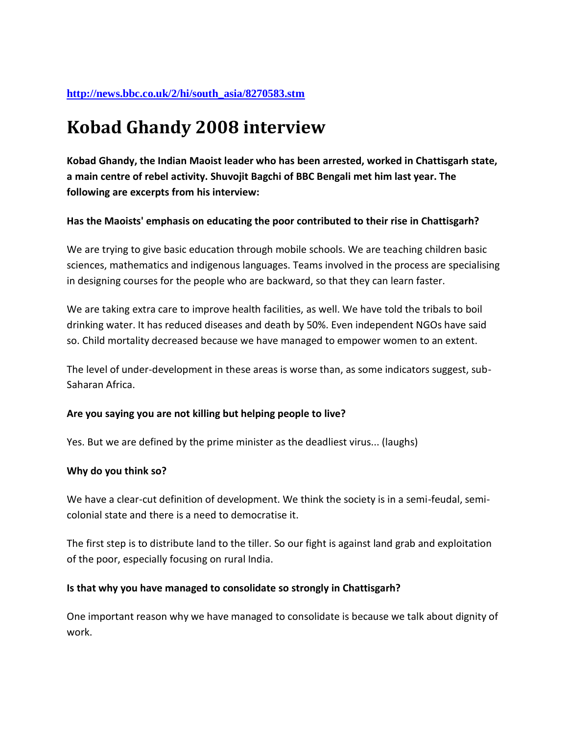## **Kobad Ghandy 2008 interview**

**Kobad Ghandy, the Indian Maoist leader who has been arrested, worked in Chattisgarh state, a main centre of rebel activity. Shuvojit Bagchi of BBC Bengali met him last year. The following are excerpts from his interview:**

#### **Has the Maoists' emphasis on educating the poor contributed to their rise in Chattisgarh?**

We are trying to give basic education through mobile schools. We are teaching children basic sciences, mathematics and indigenous languages. Teams involved in the process are specialising in designing courses for the people who are backward, so that they can learn faster.

We are taking extra care to improve health facilities, as well. We have told the tribals to boil drinking water. It has reduced diseases and death by 50%. Even independent NGOs have said so. Child mortality decreased because we have managed to empower women to an extent.

The level of under-development in these areas is worse than, as some indicators suggest, sub-Saharan Africa.

#### **Are you saying you are not killing but helping people to live?**

Yes. But we are defined by the prime minister as the deadliest virus... (laughs)

#### **Why do you think so?**

We have a clear-cut definition of development. We think the society is in a semi-feudal, semicolonial state and there is a need to democratise it.

The first step is to distribute land to the tiller. So our fight is against land grab and exploitation of the poor, especially focusing on rural India.

#### **Is that why you have managed to consolidate so strongly in Chattisgarh?**

One important reason why we have managed to consolidate is because we talk about dignity of work.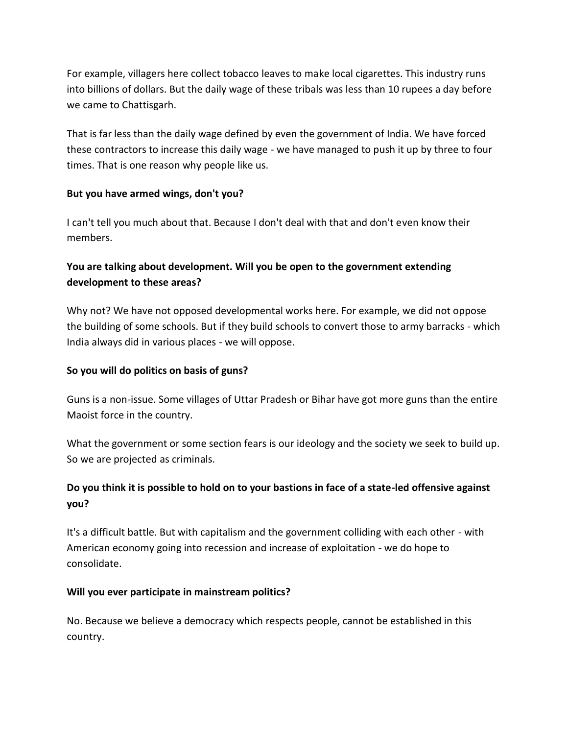For example, villagers here collect tobacco leaves to make local cigarettes. This industry runs into billions of dollars. But the daily wage of these tribals was less than 10 rupees a day before we came to Chattisgarh.

That is far less than the daily wage defined by even the government of India. We have forced these contractors to increase this daily wage - we have managed to push it up by three to four times. That is one reason why people like us.

#### **But you have armed wings, don't you?**

I can't tell you much about that. Because I don't deal with that and don't even know their members.

#### **You are talking about development. Will you be open to the government extending development to these areas?**

Why not? We have not opposed developmental works here. For example, we did not oppose the building of some schools. But if they build schools to convert those to army barracks - which India always did in various places - we will oppose.

#### **So you will do politics on basis of guns?**

Guns is a non-issue. Some villages of Uttar Pradesh or Bihar have got more guns than the entire Maoist force in the country.

What the government or some section fears is our ideology and the society we seek to build up. So we are projected as criminals.

#### **Do you think it is possible to hold on to your bastions in face of a state-led offensive against you?**

It's a difficult battle. But with capitalism and the government colliding with each other - with American economy going into recession and increase of exploitation - we do hope to consolidate.

#### **Will you ever participate in mainstream politics?**

No. Because we believe a democracy which respects people, cannot be established in this country.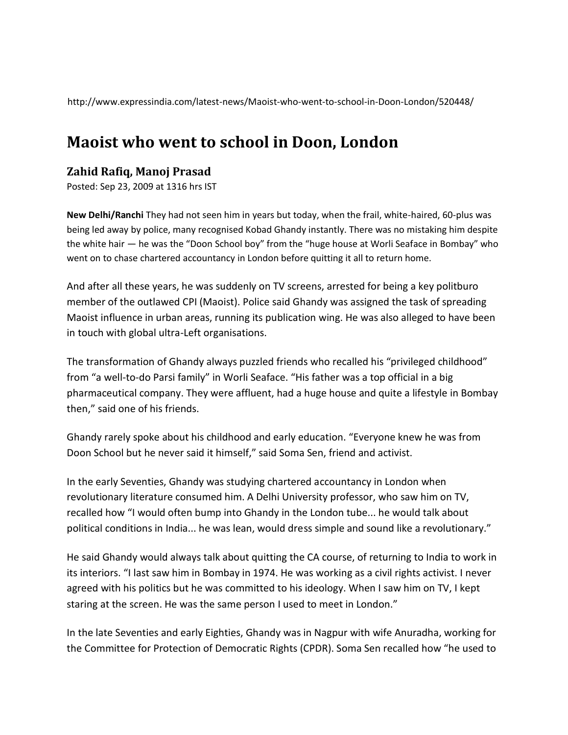http://www.expressindia.com/latest-news/Maoist-who-went-to-school-in-Doon-London/520448/

## **Maoist who went to school in Doon, London**

#### **Zahid Rafiq, Manoj Prasad**

Posted: Sep 23, 2009 at 1316 hrs IST

**New Delhi/Ranchi** They had not seen him in years but today, when the frail, white-haired, 60-plus was being led away by police, many recognised Kobad Ghandy instantly. There was no mistaking him despite the white hair — he was the "Doon School boy" from the "huge house at Worli Seaface in Bombay" who went on to chase chartered accountancy in London before quitting it all to return home.

And after all these years, he was suddenly on TV screens, arrested for being a key politburo member of the outlawed CPI (Maoist). Police said Ghandy was assigned the task of spreading Maoist influence in urban areas, running its publication wing. He was also alleged to have been in touch with global ultra-Left organisations.

The transformation of Ghandy always puzzled friends who recalled his "privileged childhood" from "a well-to-do Parsi family" in Worli Seaface. "His father was a top official in a big pharmaceutical company. They were affluent, had a huge house and quite a lifestyle in Bombay then," said one of his friends.

Ghandy rarely spoke about his childhood and early education. "Everyone knew he was from Doon School but he never said it himself," said Soma Sen, friend and activist.

In the early Seventies, Ghandy was studying chartered accountancy in London when revolutionary literature consumed him. A Delhi University professor, who saw him on TV, recalled how "I would often bump into Ghandy in the London tube... he would talk about political conditions in India... he was lean, would dress simple and sound like a revolutionary."

He said Ghandy would always talk about quitting the CA course, of returning to India to work in its interiors. "I last saw him in Bombay in 1974. He was working as a civil rights activist. I never agreed with his politics but he was committed to his ideology. When I saw him on TV, I kept staring at the screen. He was the same person I used to meet in London."

In the late Seventies and early Eighties, Ghandy was in Nagpur with wife Anuradha, working for the Committee for Protection of Democratic Rights (CPDR). Soma Sen recalled how "he used to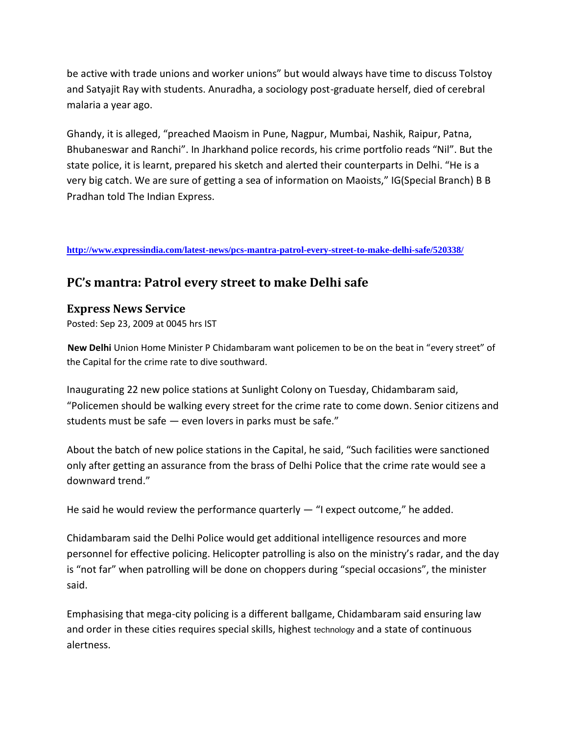be active with trade unions and worker unions" but would always have time to discuss Tolstoy and Satyajit Ray with students. Anuradha, a sociology post-graduate herself, died of cerebral malaria a year ago.

Ghandy, it is alleged, "preached Maoism in Pune, Nagpur, Mumbai, Nashik, Raipur, Patna, Bhubaneswar and Ranchi". In Jharkhand police records, his crime portfolio reads "Nil". But the state police, it is learnt, prepared his sketch and alerted their counterparts in Delhi. "He is a very big catch. We are sure of getting a sea of information on Maoists," IG(Special Branch) B B Pradhan told The Indian Express.

**<http://www.expressindia.com/latest-news/pcs-mantra-patrol-every-street-to-make-delhi-safe/520338/>**

### **PC's mantra: Patrol every street to make Delhi safe**

#### **Express News Service**

Posted: Sep 23, 2009 at 0045 hrs IST

**New Delhi** Union Home Minister P Chidambaram want policemen to be on the beat in "every street" of the Capital for the crime rate to dive southward.

Inaugurating 22 new police stations at Sunlight Colony on Tuesday, Chidambaram said, "Policemen should be walking every street for the crime rate to come down. Senior citizens and students must be safe — even lovers in parks must be safe."

About the batch of new police stations in the Capital, he said, "Such facilities were sanctioned only after getting an assurance from the brass of Delhi Police that the crime rate would see a downward trend."

He said he would review the performance quarterly  $-$  "I expect outcome," he added.

Chidambaram said the Delhi Police would get additional intelligence resources and more personnel for effective policing. Helicopter patrolling is also on the ministry's radar, and the day is "not far" when patrolling will be done on choppers during "special occasions", the minister said.

Emphasising that mega-city policing is a different ballgame, Chidambaram said ensuring law and order in these cities requires special skills, highest technology and a state of continuous alertness.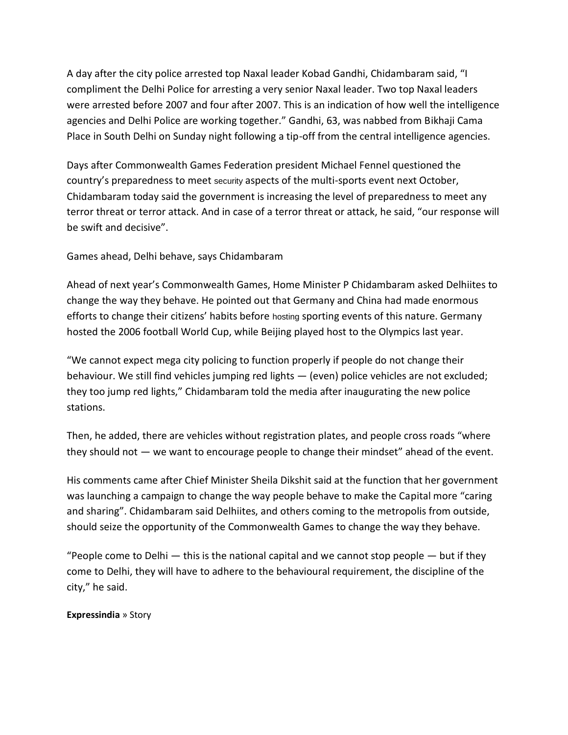A day after the city police arrested top Naxal leader Kobad Gandhi, Chidambaram said, "I compliment the Delhi Police for arresting a very senior Naxal leader. Two top Naxal leaders were arrested before 2007 and four after 2007. This is an indication of how well the intelligence agencies and Delhi Police are working together." Gandhi, 63, was nabbed from Bikhaji Cama Place in South Delhi on Sunday night following a tip-off from the central intelligence agencies.

Days after Commonwealth Games Federation president Michael Fennel questioned the country's preparedness to meet security aspects of the multi-sports event next October, Chidambaram today said the government is increasing the level of preparedness to meet any terror threat or terror attack. And in case of a terror threat or attack, he said, "our response will be swift and decisive".

Games ahead, Delhi behave, says Chidambaram

Ahead of next year's Commonwealth Games, Home Minister P Chidambaram asked Delhiites to change the way they behave. He pointed out that Germany and China had made enormous efforts to change their citizens' habits before hosting sporting events of this nature. Germany hosted the 2006 football World Cup, while Beijing played host to the Olympics last year.

"We cannot expect mega city policing to function properly if people do not change their behaviour. We still find vehicles jumping red lights — (even) police vehicles are not excluded; they too jump red lights," Chidambaram told the media after inaugurating the new police stations.

Then, he added, there are vehicles without registration plates, and people cross roads "where they should not — we want to encourage people to change their mindset" ahead of the event.

His comments came after Chief Minister Sheila Dikshit said at the function that her government was launching a campaign to change the way people behave to make the Capital more "caring and sharing". Chidambaram said Delhiites, and others coming to the metropolis from outside, should seize the opportunity of the Commonwealth Games to change the way they behave.

"People come to Delhi  $-$  this is the national capital and we cannot stop people  $-$  but if they come to Delhi, they will have to adhere to the behavioural requirement, the discipline of the city," he said.

#### **[Expressindia](http://www.expressindia.com/)** » Story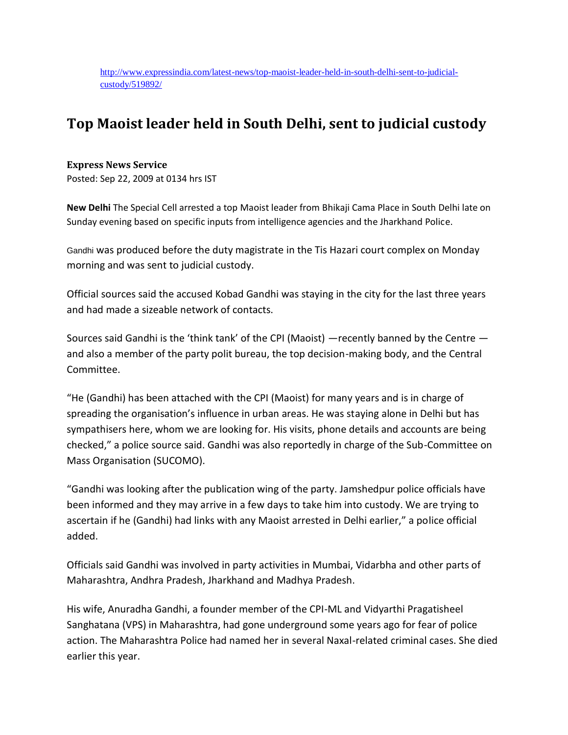[http://www.expressindia.com/latest-news/top-maoist-leader-held-in-south-delhi-sent-to-judicial](http://www.expressindia.com/latest-news/top-maoist-leader-held-in-south-delhi-sent-to-judicial-custody/519892/)[custody/519892/](http://www.expressindia.com/latest-news/top-maoist-leader-held-in-south-delhi-sent-to-judicial-custody/519892/)

## **Top Maoist leader held in South Delhi, sent to judicial custody**

#### **Express News Service**

Posted: Sep 22, 2009 at 0134 hrs IST

**New Delhi** The Special Cell arrested a top Maoist leader from Bhikaji Cama Place in South Delhi late on Sunday evening based on specific inputs from intelligence agencies and the Jharkhand Police.

Gandhi was produced before the duty magistrate in the Tis Hazari court complex on Monday morning and was sent to judicial custody.

Official sources said the accused Kobad Gandhi was staying in the city for the last three years and had made a sizeable network of contacts.

Sources said Gandhi is the 'think tank' of the CPI (Maoist) —recently banned by the Centre and also a member of the party polit bureau, the top decision-making body, and the Central Committee.

"He (Gandhi) has been attached with the CPI (Maoist) for many years and is in charge of spreading the organisation's influence in urban areas. He was staying alone in Delhi but has sympathisers here, whom we are looking for. His visits, phone details and accounts are being checked," a police source said. Gandhi was also reportedly in charge of the Sub-Committee on Mass Organisation (SUCOMO).

"Gandhi was looking after the publication wing of the party. Jamshedpur police officials have been informed and they may arrive in a few days to take him into custody. We are trying to ascertain if he (Gandhi) had links with any Maoist arrested in Delhi earlier," a police official added.

Officials said Gandhi was involved in party activities in Mumbai, Vidarbha and other parts of Maharashtra, Andhra Pradesh, Jharkhand and Madhya Pradesh.

His wife, Anuradha Gandhi, a founder member of the CPI-ML and Vidyarthi Pragatisheel Sanghatana (VPS) in Maharashtra, had gone underground some years ago for fear of police action. The Maharashtra Police had named her in several Naxal-related criminal cases. She died earlier this year.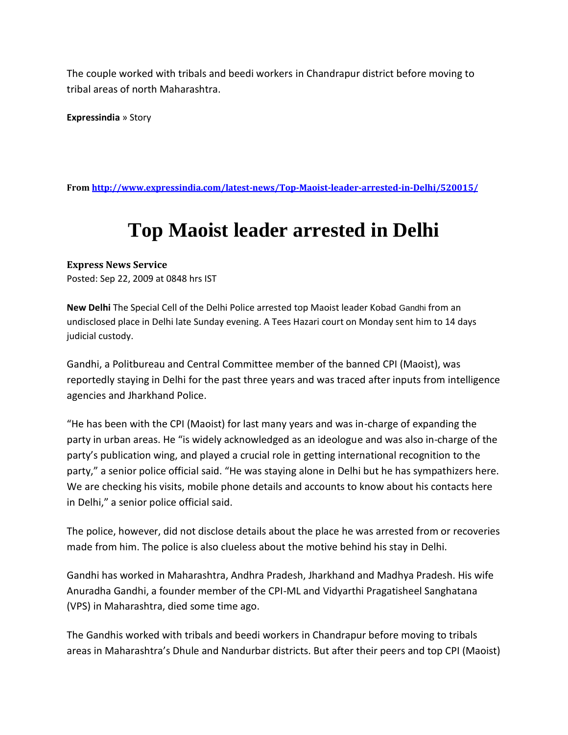The couple worked with tribals and beedi workers in Chandrapur district before moving to tribal areas of north Maharashtra.

**[Expressindia](http://www.expressindia.com/)** » Story

**From<http://www.expressindia.com/latest-news/Top-Maoist-leader-arrested-in-Delhi/520015/>**

## **Top Maoist leader arrested in Delhi**

#### **Express News Service**

Posted: Sep 22, 2009 at 0848 hrs IST

**New Delhi** The Special Cell of the Delhi Police arrested top Maoist leader Kobad Gandhi from an undisclosed place in Delhi late Sunday evening. A Tees Hazari court on Monday sent him to 14 days judicial custody.

Gandhi, a Politbureau and Central Committee member of the banned CPI (Maoist), was reportedly staying in Delhi for the past three years and was traced after inputs from intelligence agencies and Jharkhand Police.

"He has been with the CPI (Maoist) for last many years and was in-charge of expanding the party in urban areas. He "is widely acknowledged as an ideologue and was also in-charge of the party's publication wing, and played a crucial role in getting international recognition to the party," a senior police official said. "He was staying alone in Delhi but he has sympathizers here. We are checking his visits, mobile phone details and accounts to know about his contacts here in Delhi," a senior police official said.

The police, however, did not disclose details about the place he was arrested from or recoveries made from him. The police is also clueless about the motive behind his stay in Delhi.

Gandhi has worked in Maharashtra, Andhra Pradesh, Jharkhand and Madhya Pradesh. His wife Anuradha Gandhi, a founder member of the CPI-ML and Vidyarthi Pragatisheel Sanghatana (VPS) in Maharashtra, died some time ago.

The Gandhis worked with tribals and beedi workers in Chandrapur before moving to tribals areas in Maharashtra's Dhule and Nandurbar districts. But after their peers and top CPI (Maoist)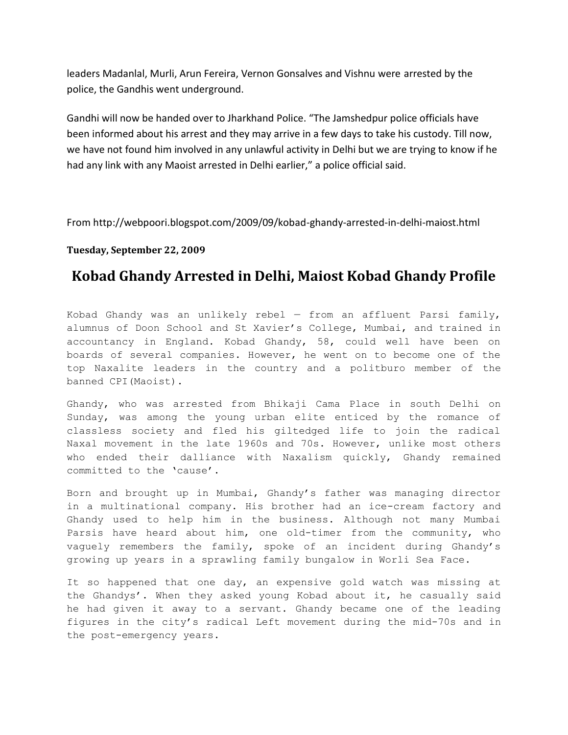leaders Madanlal, Murli, Arun Fereira, Vernon Gonsalves and Vishnu were arrested by the police, the Gandhis went underground.

Gandhi will now be handed over to Jharkhand Police. "The Jamshedpur police officials have been informed about his arrest and they may arrive in a few days to take his custody. Till now, we have not found him involved in any unlawful activity in Delhi but we are trying to know if he had any link with any Maoist arrested in Delhi earlier," a police official said.

From http://webpoori.blogspot.com/2009/09/kobad-ghandy-arrested-in-delhi-maiost.html

#### **Tuesday, September 22, 2009**

## **[Kobad Ghandy Arrested in Delhi, Maiost Kobad Ghandy Profile](http://webpoori.blogspot.com/2009/09/kobad-ghandy-arrested-in-delhi-maiost.html)**

Kobad Ghandy was an unlikely rebel — from an affluent Parsi family, alumnus of Doon School and St Xavier's College, Mumbai, and trained in accountancy in England. Kobad Ghandy, 58, could well have been on boards of several companies. However, he went on to become one of the top Naxalite leaders in the country and a politburo member of the banned CPI(Maoist).

Ghandy, who was arrested from Bhikaji Cama Place in south Delhi on Sunday, was among the young urban elite enticed by the romance of classless society and fled his giltedged life to join the radical Naxal movement in the late 1960s and 70s. However, unlike most others who ended their dalliance with Naxalism quickly, Ghandy remained committed to the 'cause'.

Born and brought up in Mumbai, Ghandy's father was managing director in a multinational company. His brother had an ice-cream factory and Ghandy used to help him in the business. Although not many Mumbai Parsis have heard about him, one old-timer from the community, who vaguely remembers the family, spoke of an incident during Ghandy's growing up years in a sprawling family bungalow in Worli Sea Face.

It so happened that one day, an expensive gold watch was missing at the Ghandys'. When they asked young Kobad about it, he casually said he had given it away to a servant. Ghandy became one of the leading figures in the city's radical Left movement during the mid-70s and in the post-emergency years.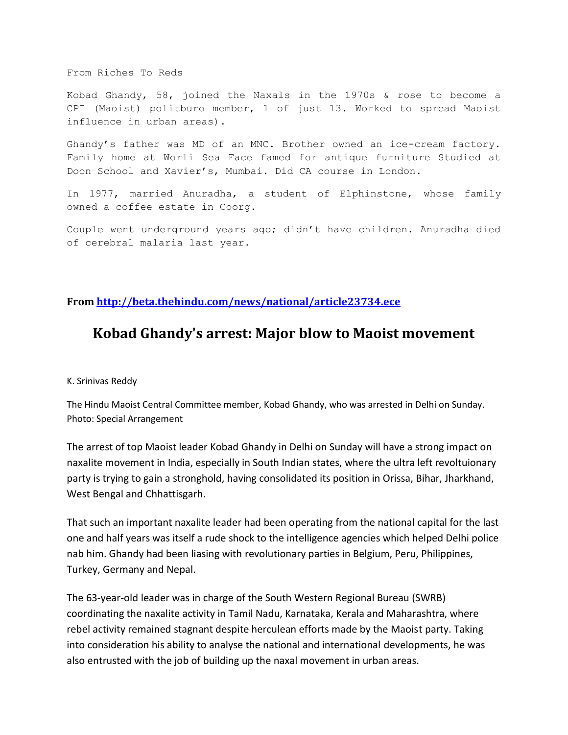From Riches To Reds

Kobad Ghandy, 58, joined the Naxals in the 1970s & rose to become a CPI (Maoist) politburo member, 1 of just 13. Worked to spread Maoist influence in urban areas).

Ghandy's father was MD of an MNC. Brother owned an ice-cream factory. Family home at Worli Sea Face famed for antique furniture Studied at Doon School and Xavier's, Mumbai. Did CA course in London.

In 1977, married Anuradha, a student of Elphinstone, whose family owned a coffee estate in Coorg.

Couple went underground years ago; didn't have children. Anuradha died of cerebral malaria last year.

#### **From <http://beta.thehindu.com/news/national/article23734.ece>**

## **Kobad Ghandy's arrest: Major blow to Maoist movement**

#### K. Srinivas Reddy

The Hindu Maoist Central Committee member, Kobad Ghandy, who was arrested in Delhi on Sunday. Photo: Special Arrangement

The arrest of top Maoist leader Kobad Ghandy in Delhi on Sunday will have a strong impact on naxalite movement in India, especially in South Indian states, where the ultra left revoltuionary party is trying to gain a stronghold, having consolidated its position in Orissa, Bihar, Jharkhand, West Bengal and Chhattisgarh.

That such an important naxalite leader had been operating from the national capital for the last one and half years was itself a rude shock to the intelligence agencies which helped Delhi police nab him. Ghandy had been liasing with revolutionary parties in Belgium, Peru, Philippines, Turkey, Germany and Nepal.

The 63-year-old leader was in charge of the South Western Regional Bureau (SWRB) coordinating the naxalite activity in Tamil Nadu, Karnataka, Kerala and Maharashtra, where rebel activity remained stagnant despite herculean efforts made by the Maoist party. Taking into consideration his ability to analyse the national and international developments, he was also entrusted with the job of building up the naxal movement in urban areas.